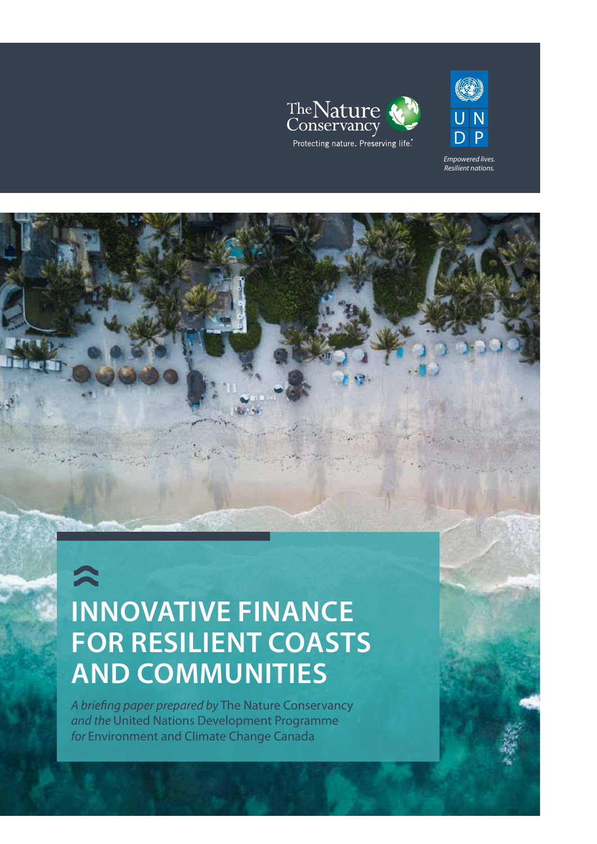



*Empowered lives. Resilient nations.* 

# $\hat{\mathbf{z}}$ **INNOVATIVE FINANCE FOR RESILIENT COASTS AND COMMUNITIES**

*A briefing paper prepared by* The Nature Conservancy *and the* United Nations Development Programme *for* Environment and Climate Change Canada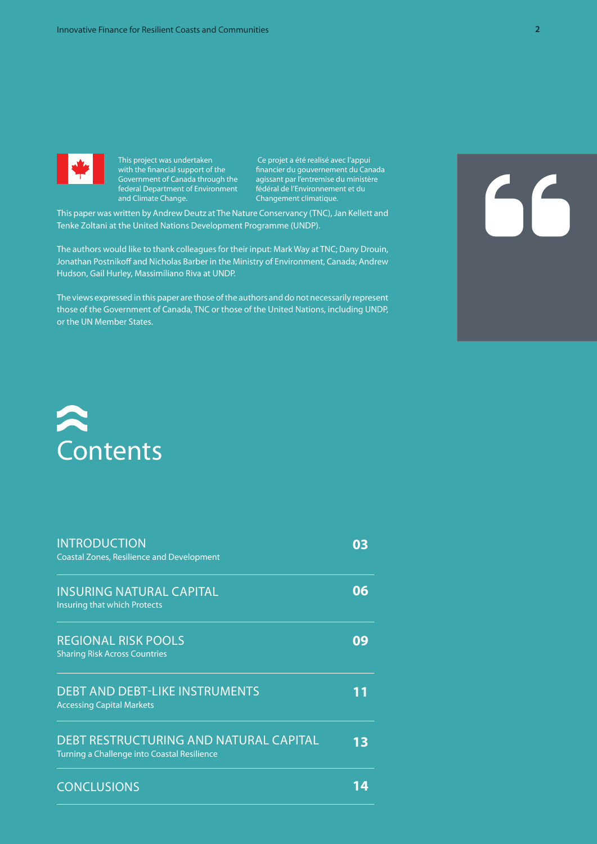

This project was undertaken with the financial support of the Government of Canada through the federal Department of Environment and Climate Change.

 Ce projet a été realisé avec l'appui financier du gouvernement du Canada agissant par l'entremise du ministère fédéral de l'Environnement et du Changement climatique.

This paper was written by Andrew Deutz at The Nature Conservancy (TNC), Jan Kellett and Tenke Zoltani at the United Nations Development Programme (UNDP).

The authors would like to thank colleagues for their input: Mark Way at TNC; Dany Drouin, Jonathan Postnikoff and Nicholas Barber in the Ministry of Environment, Canada; Andrew Hudson, Gail Hurley, Massimiliano Riva at UNDP.

The views expressed in this paper are those of the authors and do not necessarily represent those of the Government of Canada, TNC or those of the United Nations, including UNDP, or the UN Member States.

# 56



| <b>INTRODUCTION</b><br><b>Coastal Zones, Resilience and Development</b>               | 03 |
|---------------------------------------------------------------------------------------|----|
| <b>INSURING NATURAL CAPITAL</b><br>Insuring that which Protects                       | 06 |
| <b>REGIONAL RISK POOLS</b><br><b>Sharing Risk Across Countries</b>                    | 09 |
| <b>DEBT AND DEBT-LIKE INSTRUMENTS</b><br><b>Accessing Capital Markets</b>             |    |
| DEBT RESTRUCTURING AND NATURAL CAPITAL<br>Turning a Challenge into Coastal Resilience | 13 |
| <b>CONCLUSIONS</b>                                                                    |    |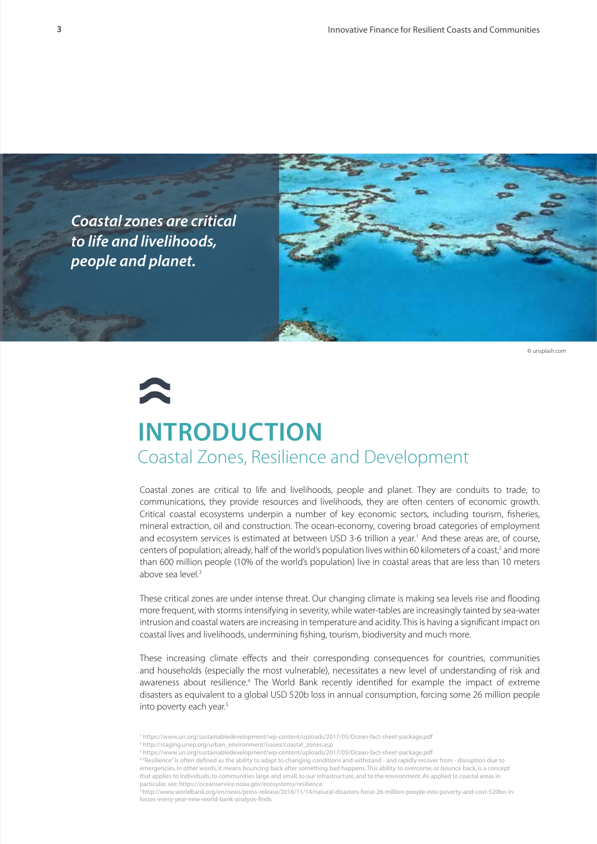



© unsplash.com

# **INTRODUCTION** Coastal Zones, Resilience and Development

Coastal zones are critical to life and livelihoods, people and planet. They are conduits to trade, to communications, they provide resources and livelihoods, they are often centers of economic growth. Critical coastal ecosystems underpin a number of key economic sectors, including tourism, fisheries, mineral extraction, oil and construction. The ocean-economy, covering broad categories of employment and ecosystem services is estimated at between USD 3-6 trillion a year.<sup>1</sup> And these areas are, of course, centers of population; already, half of the world's population lives within 60 kilometers of a coast,<sup>2</sup> and more than 600 million people (10% of the world's population) live in coastal areas that are less than 10 meters above sea level.<sup>3</sup>

These critical zones are under intense threat. Our changing climate is making sea levels rise and flooding more frequent, with storms intensifying in severity, while water-tables are increasingly tainted by sea-water intrusion and coastal waters are increasing in temperature and acidity. This is having a significant impact on coastal lives and livelihoods, undermining fishing, tourism, biodiversity and much more.

These increasing climate effects and their corresponding consequences for countries, communities and households (especially the most vulnerable), necessitates a new level of understanding of risk and awareness about resilience.<sup>4</sup> The World Bank recently identified for example the impact of extreme disasters as equivalent to a global USD 520b loss in annual consumption, forcing some 26 million people into poverty each year.<sup>5</sup>

<sup>1</sup> https://www.un.org/sustainabledevelopment/wp-content/uploads/2017/05/Ocean-fact-sheet-package.pdf

<sup>2</sup> http://staging.unep.org/urban\_environment/issues/coastal\_zones.asp

<sup>3</sup> https://www.un.org/sustainabledevelopment/wp-content/uploads/2017/05/Ocean-fact-sheet-package.pdf

<sup>4</sup> "Resilience" is often defined as the ability to adapt to changing conditions and withstand - and rapidly recover from - disruption due to emergencies. In other words, it means bouncing back after something bad happens. This ability to overcome, or bounce back, is a concept that applies to individuals, to communities large and small, to our infrastructure, and to the environment. As applied to coastal areas in particular, see: https://oceanservice.noaa.gov/ecosystems/resilience

<sup>5</sup> http://www.worldbank.org/en/news/press-release/2016/11/14/natural-disasters-force-26-million-people-into-poverty-and-cost-520bn-inlosses-every-year-new-world-bank-analysis-finds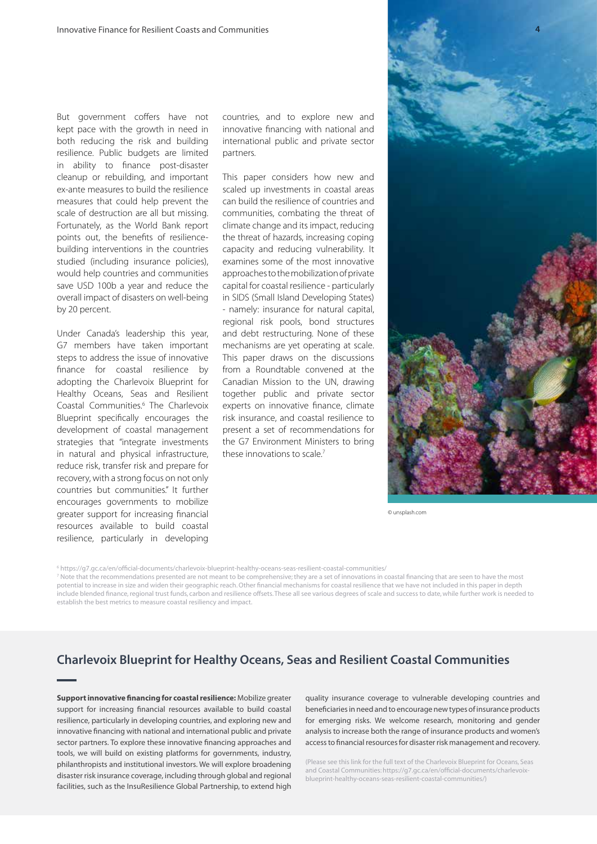But government coffers have not kept pace with the growth in need in both reducing the risk and building resilience. Public budgets are limited in ability to finance post-disaster cleanup or rebuilding, and important ex-ante measures to build the resilience measures that could help prevent the scale of destruction are all but missing. Fortunately, as the World Bank report points out, the benefits of resiliencebuilding interventions in the countries studied (including insurance policies), would help countries and communities save USD 100b a year and reduce the overall impact of disasters on well-being by 20 percent.

Under Canada's leadership this year, G7 members have taken important steps to address the issue of innovative finance for coastal resilience by adopting the Charlevoix Blueprint for Healthy Oceans, Seas and Resilient Coastal Communities.<sup>6</sup> The Charlevoix Blueprint specifically encourages the development of coastal management strategies that "integrate investments in natural and physical infrastructure, reduce risk, transfer risk and prepare for recovery, with a strong focus on not only countries but communities." It further encourages governments to mobilize greater support for increasing financial resources available to build coastal resilience, particularly in developing

countries, and to explore new and innovative financing with national and international public and private sector partners.

This paper considers how new and scaled up investments in coastal areas can build the resilience of countries and communities, combating the threat of climate change and its impact, reducing the threat of hazards, increasing coping capacity and reducing vulnerability. It examines some of the most innovative approaches to the mobilization of private capital for coastal resilience - particularly in SIDS (Small Island Developing States) - namely: insurance for natural capital, regional risk pools, bond structures and debt restructuring. None of these mechanisms are yet operating at scale. This paper draws on the discussions from a Roundtable convened at the Canadian Mission to the UN, drawing together public and private sector experts on innovative finance, climate risk insurance, and coastal resilience to present a set of recommendations for the G7 Environment Ministers to bring these innovations to scale.<sup>7</sup>



© unsplash.com

6 https://g7.gc.ca/en/official-documents/charlevoix-blueprint-healthy-oceans-seas-resilient-coastal-communities/

7 Note that the recommendations presented are not meant to be comprehensive; they are a set of innovations in coastal financing that are seen to have the most potential to increase in size and widen their geographic reach. Other financial mechanisms for coastal resilience that we have not included in this paper in depth include blended finance, regional trust funds, carbon and resilience offsets. These all see various degrees of scale and success to date, while further work is needed to establish the best metrics to measure coastal resiliency and impact.

#### **Charlevoix Blueprint for Healthy Oceans, Seas and Resilient Coastal Communities**

**Support innovative financing for coastal resilience:** Mobilize greater support for increasing financial resources available to build coastal resilience, particularly in developing countries, and exploring new and innovative financing with national and international public and private sector partners. To explore these innovative financing approaches and tools, we will build on existing platforms for governments, industry, philanthropists and institutional investors. We will explore broadening disaster risk insurance coverage, including through global and regional facilities, such as the InsuResilience Global Partnership, to extend high

quality insurance coverage to vulnerable developing countries and beneficiaries in need and to encourage new types of insurance products for emerging risks. We welcome research, monitoring and gender analysis to increase both the range of insurance products and women's access to financial resources for disaster risk management and recovery.

(Please see this link for the full text of the Charlevoix Blueprint for Oceans, Seas and Coastal Communities: https://g7.gc.ca/en/official-documents/charlevoixblueprint-healthy-oceans-seas-resilient-coastal-communities/)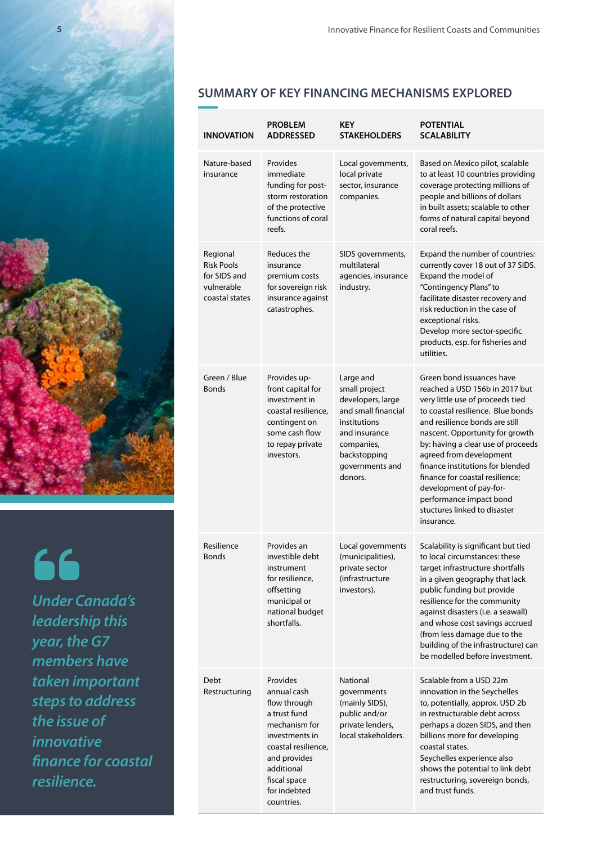

66 *Under Canada's leadership this year, the G7 members have taken important steps to address the issue of innovative finance for coastal resilience.*

#### **SUMMARY OF KEY FINANCING MECHANISMS EXPLORED**

| INNOVATION                                                                    | <b>PROBLEM</b><br><b>ADDRESSED</b>                                                                                                                                                            | <b>KEY</b><br><b>STAKEHOLDERS</b>                                                                                                                                   | <b>POTENTIAL</b><br><b>SCALABILITY</b>                                                                                                                                                                                                                                                                                                                                                                                                                |
|-------------------------------------------------------------------------------|-----------------------------------------------------------------------------------------------------------------------------------------------------------------------------------------------|---------------------------------------------------------------------------------------------------------------------------------------------------------------------|-------------------------------------------------------------------------------------------------------------------------------------------------------------------------------------------------------------------------------------------------------------------------------------------------------------------------------------------------------------------------------------------------------------------------------------------------------|
| Nature-based<br>insurance                                                     | Provides<br>immediate<br>funding for post-<br>storm restoration<br>of the protective<br>functions of coral<br>reefs.                                                                          | Local governments,<br>local private<br>sector, insurance<br>companies.                                                                                              | Based on Mexico pilot, scalable<br>to at least 10 countries providing<br>coverage protecting millions of<br>people and billions of dollars<br>in built assets; scalable to other<br>forms of natural capital beyond<br>coral reefs.                                                                                                                                                                                                                   |
| Regional<br><b>Risk Pools</b><br>for SIDS and<br>vulnerable<br>coastal states | Reduces the<br>insurance<br>premium costs<br>for sovereign risk<br>insurance against<br>catastrophes.                                                                                         | SIDS governments,<br>multilateral<br>agencies, insurance<br>industry.                                                                                               | Expand the number of countries:<br>currently cover 18 out of 37 SIDS.<br>Expand the model of<br>"Contingency Plans" to<br>facilitate disaster recovery and<br>risk reduction in the case of<br>exceptional risks.<br>Develop more sector-specific<br>products, esp. for fisheries and<br>utilities.                                                                                                                                                   |
| Green / Blue<br><b>Bonds</b>                                                  | Provides up-<br>front capital for<br>investment in<br>coastal resilience,<br>contingent on<br>some cash flow<br>to repay private<br>investors.                                                | Large and<br>small project<br>developers, large<br>and small financial<br>institutions<br>and insurance<br>companies,<br>backstopping<br>governments and<br>donors. | Green bond issuances have<br>reached a USD 156b in 2017 but<br>very little use of proceeds tied<br>to coastal resilience. Blue bonds<br>and resilience bonds are still<br>nascent. Opportunity for growth<br>by: having a clear use of proceeds<br>agreed from development<br>finance institutions for blended<br>finance for coastal resilience;<br>development of pay-for-<br>performance impact bond<br>stuctures linked to disaster<br>insurance. |
| Resilience<br><b>Bonds</b>                                                    | Provides an<br>investible debt<br>instrument<br>for resilience,<br>offsetting<br>municipal or<br>national budget<br>shortfalls.                                                               | Local governments<br>(municipalities),<br>private sector<br>(infrastructure<br>investors).                                                                          | Scalability is significant but tied<br>to local circumstances: these<br>target infrastructure shortfalls<br>in a given geography that lack<br>public funding but provide<br>resilience for the community<br>against disasters (i.e. a seawall)<br>and whose cost savings accrued<br>(from less damage due to the<br>building of the infrastructure) can<br>be modelled before investment.                                                             |
| Debt<br>Restructuring                                                         | Provides<br>annual cash<br>flow through<br>a trust fund<br>mechanism for<br>investments in<br>coastal resilience,<br>and provides<br>additional<br>fiscal space<br>for indebted<br>countries. | <b>National</b><br>governments<br>(mainly SIDS),<br>public and/or<br>private lenders,<br>local stakeholders.                                                        | Scalable from a USD 22m<br>innovation in the Seychelles<br>to, potentially, approx. USD 2b<br>in restructurable debt across<br>perhaps a dozen SIDS, and then<br>billions more for developing<br>coastal states.<br>Seychelles experience also<br>shows the potential to link debt<br>restructuring, sovereign bonds,<br>and trust funds.                                                                                                             |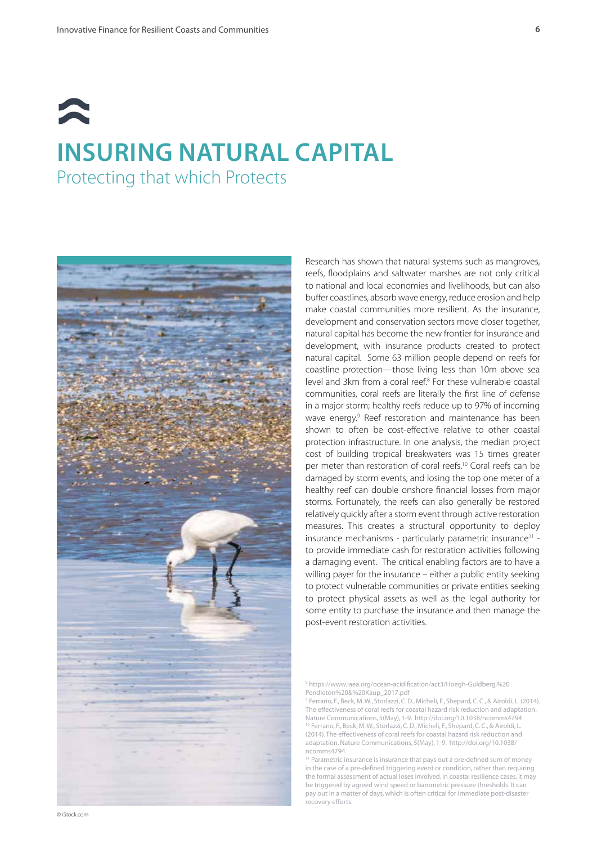# **INSURING NATURAL CAPITAL** Protecting that which Protects



Research has shown that natural systems such as mangroves, reefs, floodplains and saltwater marshes are not only critical to national and local economies and livelihoods, but can also buffer coastlines, absorb wave energy, reduce erosion and help make coastal communities more resilient. As the insurance, development and conservation sectors move closer together, natural capital has become the new frontier for insurance and development, with insurance products created to protect natural capital. Some 63 million people depend on reefs for coastline protection—those living less than 10m above sea level and 3km from a coral reef.<sup>8</sup> For these vulnerable coastal communities, coral reefs are literally the first line of defense in a major storm; healthy reefs reduce up to 97% of incoming wave energy.<sup>9</sup> Reef restoration and maintenance has been shown to often be cost-effective relative to other coastal protection infrastructure. In one analysis, the median project cost of building tropical breakwaters was 15 times greater per meter than restoration of coral reefs.10 Coral reefs can be damaged by storm events, and losing the top one meter of a healthy reef can double onshore financial losses from major storms. Fortunately, the reefs can also generally be restored relatively quickly after a storm event through active restoration measures. This creates a structural opportunity to deploy insurance mechanisms - particularly parametric insurance<sup>11</sup> to provide immediate cash for restoration activities following a damaging event. The critical enabling factors are to have a willing payer for the insurance – either a public entity seeking to protect vulnerable communities or private entities seeking to protect physical assets as well as the legal authority for some entity to purchase the insurance and then manage the post-event restoration activities.

8 https://www.iaea.org/ocean-acidification/act3/Hoegh-Guldberg,%20 Pendleton%20&%20Kaup\_2017.pdf

9 Ferrario, F., Beck, M. W., Storlazzi, C. D., Micheli, F., Shepard, C. C., & Airoldi, L. (2014). The effectiveness of coral reefs for coastal hazard risk reduction and adaptation. Nature Communications, 5(May), 1-9. http://doi.org/10.1038/ncomms4794

10 Ferrario, F., Beck, M. W., Storlazzi, C. D., Micheli, F., Shepard, C. C., & Airoldi, L. (2014). The effectiveness of coral reefs for coastal hazard risk reduction and adaptation. Nature Communications, 5(May), 1-9. http://doi.org/10.1038/ ncomms4794

<sup>11</sup> Parametric insurance is insurance that pays out a pre-defined sum of money in the case of a pre-defined triggering event or condition, rather than requiring the formal assessment of actual loses involved. In coastal resilience cases, it may be triggered by agreed wind speed or barometric pressure thresholds. It can pay out in a matter of days, which is often critical for immediate post-disaster recovery efforts.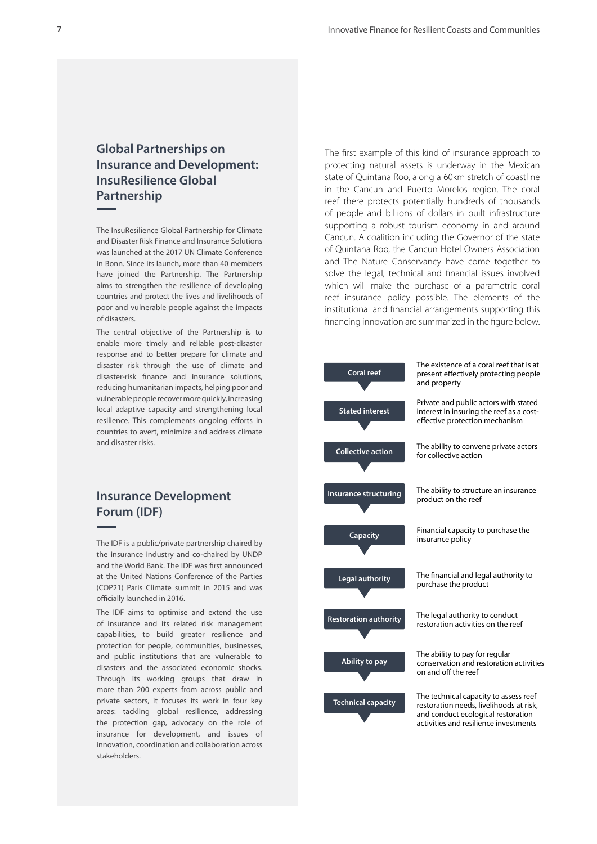#### **Global Partnerships on Insurance and Development: InsuResilience Global Partnership**

The InsuResilience Global Partnership for Climate and Disaster Risk Finance and Insurance Solutions was launched at the 2017 UN Climate Conference in Bonn. Since its launch, more than 40 members have joined the Partnership. The Partnership aims to strengthen the resilience of developing countries and protect the lives and livelihoods of poor and vulnerable people against the impacts of disasters.

The central objective of the Partnership is to enable more timely and reliable post-disaster response and to better prepare for climate and disaster risk through the use of climate and disaster-risk finance and insurance solutions, reducing humanitarian impacts, helping poor and vulnerable people recover more quickly, increasing local adaptive capacity and strengthening local resilience. This complements ongoing efforts in countries to avert, minimize and address climate and disaster risks.

#### **Insurance Development Forum (IDF)**

The IDF is a public/private partnership chaired by the insurance industry and co-chaired by UNDP and the World Bank. The IDF was first announced at the United Nations Conference of the Parties (COP21) Paris Climate summit in 2015 and was officially launched in 2016.

The IDF aims to optimise and extend the use of insurance and its related risk management capabilities, to build greater resilience and protection for people, communities, businesses, and public institutions that are vulnerable to disasters and the associated economic shocks. Through its working groups that draw in more than 200 experts from across public and private sectors, it focuses its work in four key areas: tackling global resilience, addressing the protection gap, advocacy on the role of insurance for development, and issues of innovation, coordination and collaboration across stakeholders.

The first example of this kind of insurance approach to protecting natural assets is underway in the Mexican state of Quintana Roo, along a 60km stretch of coastline in the Cancun and Puerto Morelos region. The coral reef there protects potentially hundreds of thousands of people and billions of dollars in built infrastructure supporting a robust tourism economy in and around Cancun. A coalition including the Governor of the state of Quintana Roo, the Cancun Hotel Owners Association and The Nature Conservancy have come together to solve the legal, technical and financial issues involved which will make the purchase of a parametric coral reef insurance policy possible. The elements of the institutional and financial arrangements supporting this financing innovation are summarized in the figure below.

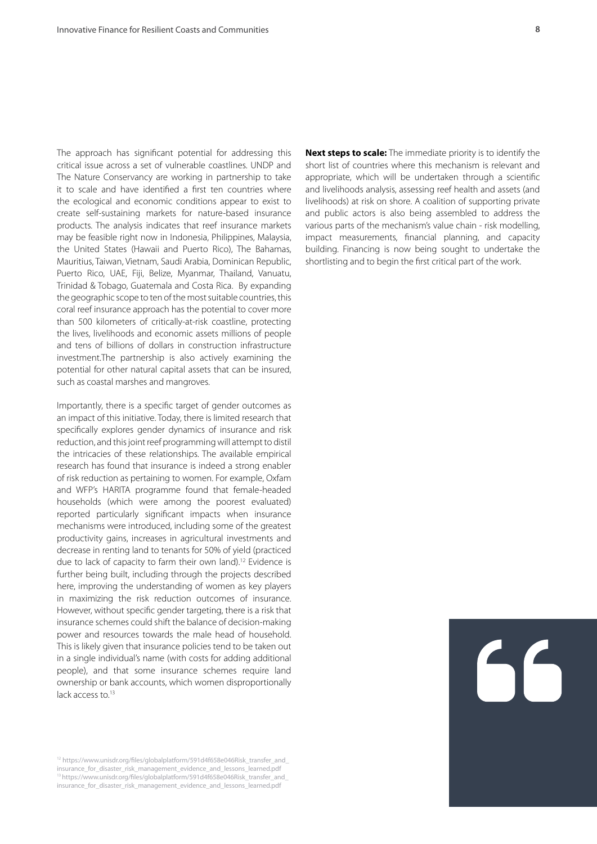The approach has significant potential for addressing this critical issue across a set of vulnerable coastlines. UNDP and The Nature Conservancy are working in partnership to take it to scale and have identified a first ten countries where the ecological and economic conditions appear to exist to create self-sustaining markets for nature-based insurance products. The analysis indicates that reef insurance markets may be feasible right now in Indonesia, Philippines, Malaysia, the United States (Hawaii and Puerto Rico), The Bahamas, Mauritius, Taiwan, Vietnam, Saudi Arabia, Dominican Republic, Puerto Rico, UAE, Fiji, Belize, Myanmar, Thailand, Vanuatu, Trinidad & Tobago, Guatemala and Costa Rica. By expanding the geographic scope to ten of the most suitable countries, this coral reef insurance approach has the potential to cover more than 500 kilometers of critically-at-risk coastline, protecting the lives, livelihoods and economic assets millions of people and tens of billions of dollars in construction infrastructure investment.The partnership is also actively examining the potential for other natural capital assets that can be insured, such as coastal marshes and mangroves.

Importantly, there is a specific target of gender outcomes as an impact of this initiative. Today, there is limited research that specifically explores gender dynamics of insurance and risk reduction, and this joint reef programming will attempt to distil the intricacies of these relationships. The available empirical research has found that insurance is indeed a strong enabler of risk reduction as pertaining to women. For example, Oxfam and WFP's HARITA programme found that female-headed households (which were among the poorest evaluated) reported particularly significant impacts when insurance mechanisms were introduced, including some of the greatest productivity gains, increases in agricultural investments and decrease in renting land to tenants for 50% of yield (practiced due to lack of capacity to farm their own land).<sup>12</sup> Evidence is further being built, including through the projects described here, improving the understanding of women as key players in maximizing the risk reduction outcomes of insurance. However, without specific gender targeting, there is a risk that insurance schemes could shift the balance of decision-making power and resources towards the male head of household. This is likely given that insurance policies tend to be taken out in a single individual's name (with costs for adding additional people), and that some insurance schemes require land ownership or bank accounts, which women disproportionally lack access to.<sup>13</sup>

<sup>12</sup> https://www.unisdr.org/files/globalplatform/591d4f658e046Risk\_transfer\_and insurance for disaster risk management evidence and lessons learned.pdf <sup>13</sup> https://www.unisdr.org/files/globalplatform/591d4f658e046Risk\_transfer\_and insurance for disaster risk management evidence and lessons learned.pdf

**Next steps to scale:** The immediate priority is to identify the short list of countries where this mechanism is relevant and appropriate, which will be undertaken through a scientific and livelihoods analysis, assessing reef health and assets (and livelihoods) at risk on shore. A coalition of supporting private and public actors is also being assembled to address the various parts of the mechanism's value chain - risk modelling, impact measurements, financial planning, and capacity building. Financing is now being sought to undertake the shortlisting and to begin the first critical part of the work.

# 66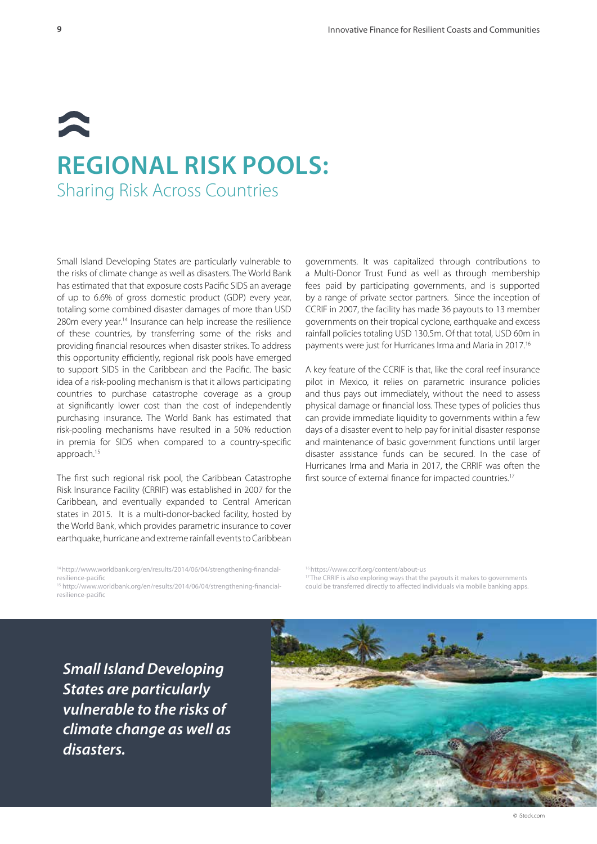### $\blacktriangleright$ **REGIONAL RISK POOLS:**  Sharing Risk Across Countries

Small Island Developing States are particularly vulnerable to the risks of climate change as well as disasters. The World Bank has estimated that that exposure costs Pacific SIDS an average of up to 6.6% of gross domestic product (GDP) every year, totaling some combined disaster damages of more than USD 280m every year.<sup>14</sup> Insurance can help increase the resilience of these countries, by transferring some of the risks and providing financial resources when disaster strikes. To address this opportunity efficiently, regional risk pools have emerged to support SIDS in the Caribbean and the Pacific. The basic idea of a risk-pooling mechanism is that it allows participating countries to purchase catastrophe coverage as a group at significantly lower cost than the cost of independently purchasing insurance. The World Bank has estimated that risk-pooling mechanisms have resulted in a 50% reduction in premia for SIDS when compared to a country-specific approach.15

The first such regional risk pool, the Caribbean Catastrophe Risk Insurance Facility (CRRIF) was established in 2007 for the Caribbean, and eventually expanded to Central American states in 2015. It is a multi-donor-backed facility, hosted by the World Bank, which provides parametric insurance to cover earthquake, hurricane and extreme rainfall events to Caribbean

governments. It was capitalized through contributions to a Multi-Donor Trust Fund as well as through membership fees paid by participating governments, and is supported by a range of private sector partners. Since the inception of CCRIF in 2007, the facility has made 36 payouts to 13 member governments on their tropical cyclone, earthquake and excess rainfall policies totaling USD 130.5m. Of that total, USD 60m in payments were just for Hurricanes Irma and Maria in 2017.16

A key feature of the CCRIF is that, like the coral reef insurance pilot in Mexico, it relies on parametric insurance policies and thus pays out immediately, without the need to assess physical damage or financial loss. These types of policies thus can provide immediate liquidity to governments within a few days of a disaster event to help pay for initial disaster response and maintenance of basic government functions until larger disaster assistance funds can be secured. In the case of Hurricanes Irma and Maria in 2017, the CRRIF was often the first source of external finance for impacted countries.<sup>17</sup>

14 http://www.worldbank.org/en/results/2014/06/04/strengthening-financialresilience-pacific

15 http://www.worldbank.org/en/results/2014/06/04/strengthening-financialresilience-pacific

16 https://www.ccrif.org/content/about-us <sup>17</sup> The CRRIF is also exploring ways that the payouts it makes to governments could be transferred directly to affected individuals via mobile banking apps.

*Small Island Developing States are particularly vulnerable to the risks of climate change as well as disasters.*



© iStock.com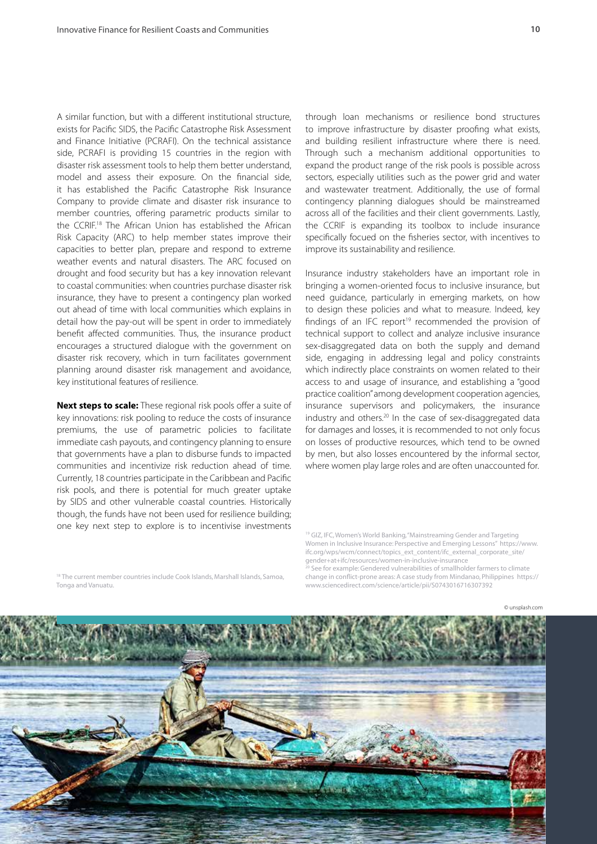A similar function, but with a different institutional structure, exists for Pacific SIDS, the Pacific Catastrophe Risk Assessment and Finance Initiative (PCRAFI). On the technical assistance side, PCRAFI is providing 15 countries in the region with disaster risk assessment tools to help them better understand, model and assess their exposure. On the financial side, it has established the Pacific Catastrophe Risk Insurance Company to provide climate and disaster risk insurance to member countries, offering parametric products similar to the CCRIF.18 The African Union has established the African Risk Capacity (ARC) to help member states improve their capacities to better plan, prepare and respond to extreme weather events and natural disasters. The ARC focused on drought and food security but has a key innovation relevant to coastal communities: when countries purchase disaster risk insurance, they have to present a contingency plan worked out ahead of time with local communities which explains in detail how the pay-out will be spent in order to immediately benefit affected communities. Thus, the insurance product encourages a structured dialogue with the government on disaster risk recovery, which in turn facilitates government planning around disaster risk management and avoidance, key institutional features of resilience.

**Next steps to scale:** These regional risk pools offer a suite of key innovations: risk pooling to reduce the costs of insurance premiums, the use of parametric policies to facilitate immediate cash payouts, and contingency planning to ensure that governments have a plan to disburse funds to impacted communities and incentivize risk reduction ahead of time. Currently, 18 countries participate in the Caribbean and Pacific risk pools, and there is potential for much greater uptake by SIDS and other vulnerable coastal countries. Historically though, the funds have not been used for resilience building; one key next step to explore is to incentivise investments

through loan mechanisms or resilience bond structures to improve infrastructure by disaster proofing what exists, and building resilient infrastructure where there is need. Through such a mechanism additional opportunities to expand the product range of the risk pools is possible across sectors, especially utilities such as the power grid and water and wastewater treatment. Additionally, the use of formal contingency planning dialogues should be mainstreamed across all of the facilities and their client governments. Lastly, the CCRIF is expanding its toolbox to include insurance specifically focued on the fisheries sector, with incentives to improve its sustainability and resilience.

Insurance industry stakeholders have an important role in bringing a women-oriented focus to inclusive insurance, but need guidance, particularly in emerging markets, on how to design these policies and what to measure. Indeed, key findings of an IFC report<sup>19</sup> recommended the provision of technical support to collect and analyze inclusive insurance sex-disaggregated data on both the supply and demand side, engaging in addressing legal and policy constraints which indirectly place constraints on women related to their access to and usage of insurance, and establishing a "good practice coalition" among development cooperation agencies, insurance supervisors and policymakers, the insurance industry and others.<sup>20</sup> In the case of sex-disaggregated data for damages and losses, it is recommended to not only focus on losses of productive resources, which tend to be owned by men, but also losses encountered by the informal sector, where women play large roles and are often unaccounted for.

See for example: Gendered vulnerabilities of smallholder farmers to climate change in conflict-prone areas: A case study from Mindanao, Philippines https:// www.sciencedirect.com/science/article/pii/S0743016716307392

© unsplash.com



<sup>18</sup> The current member countries include Cook Islands, Marshall Islands, Samoa, Tonga and Vanuatu.

<sup>19</sup> GIZ, IFC, Women's World Banking, "Mainstreaming Gender and Targeting Women in Inclusive Insurance: Perspective and Emerging Lessons" https://www. ifc.org/wps/wcm/connect/topics\_ext\_content/ifc\_external\_corporate\_site/ gender+at+ifc/resources/women-in-inclusive-insurance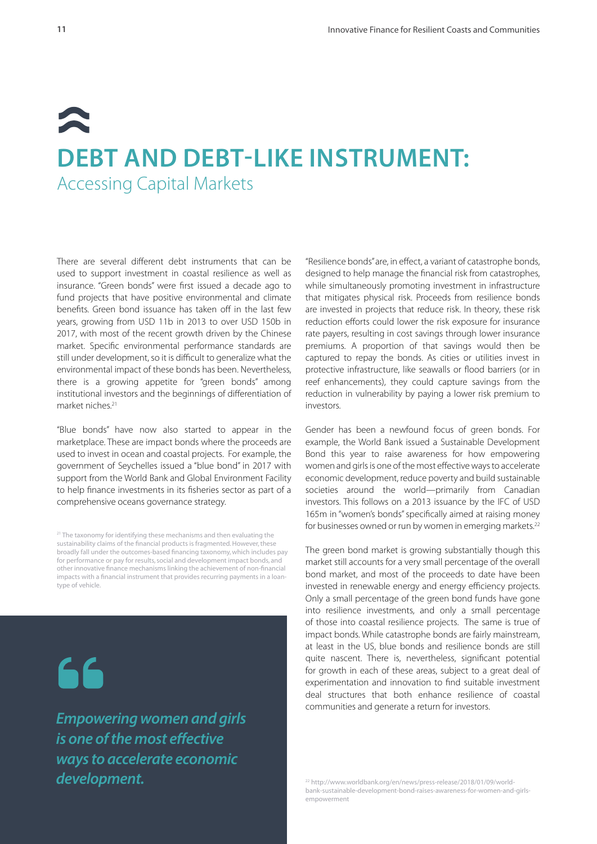## $\blacktriangleright$ **DEBT AND DEBT-LIKE INSTRUMENT:** Accessing Capital Markets

There are several different debt instruments that can be used to support investment in coastal resilience as well as insurance. "Green bonds" were first issued a decade ago to fund projects that have positive environmental and climate benefits. Green bond issuance has taken off in the last few years, growing from USD 11b in 2013 to over USD 150b in 2017, with most of the recent growth driven by the Chinese market. Specific environmental performance standards are still under development, so it is difficult to generalize what the environmental impact of these bonds has been. Nevertheless, there is a growing appetite for "green bonds" among institutional investors and the beginnings of differentiation of market niches.21

"Blue bonds" have now also started to appear in the marketplace. These are impact bonds where the proceeds are used to invest in ocean and coastal projects. For example, the government of Seychelles issued a "blue bond" in 2017 with support from the World Bank and Global Environment Facility to help finance investments in its fisheries sector as part of a comprehensive oceans governance strategy.

<sup>21</sup> The taxonomy for identifying these mechanisms and then evaluating the sustainability claims of the financial products is fragmented. However, these broadly fall under the outcomes-based financing taxonomy, which includes pay for performance or pay for results, social and development impact bonds, and other innovative finance mechanisms linking the achievement of non-financial impacts with a financial instrument that provides recurring payments in a loantype of vehicle.



*Empowering women and girls is one of the most effective ways to accelerate economic development.*

"Resilience bonds" are, in effect, a variant of catastrophe bonds, designed to help manage the financial risk from catastrophes, while simultaneously promoting investment in infrastructure that mitigates physical risk. Proceeds from resilience bonds are invested in projects that reduce risk. In theory, these risk reduction efforts could lower the risk exposure for insurance rate payers, resulting in cost savings through lower insurance premiums. A proportion of that savings would then be captured to repay the bonds. As cities or utilities invest in protective infrastructure, like seawalls or flood barriers (or in reef enhancements), they could capture savings from the reduction in vulnerability by paying a lower risk premium to investors.

Gender has been a newfound focus of green bonds. For example, the World Bank issued a Sustainable Development Bond this year to raise awareness for how empowering women and girls is one of the most effective ways to accelerate economic development, reduce poverty and build sustainable societies around the world—primarily from Canadian investors. This follows on a 2013 issuance by the IFC of USD 165m in "women's bonds" specifically aimed at raising money for businesses owned or run by women in emerging markets.<sup>22</sup>

The green bond market is growing substantially though this market still accounts for a very small percentage of the overall bond market, and most of the proceeds to date have been invested in renewable energy and energy efficiency projects. Only a small percentage of the green bond funds have gone into resilience investments, and only a small percentage of those into coastal resilience projects. The same is true of impact bonds. While catastrophe bonds are fairly mainstream, at least in the US, blue bonds and resilience bonds are still quite nascent. There is, nevertheless, significant potential for growth in each of these areas, subject to a great deal of experimentation and innovation to find suitable investment deal structures that both enhance resilience of coastal communities and generate a return for investors.

22 http://www.worldbank.org/en/news/press-release/2018/01/09/worldbank-sustainable-development-bond-raises-awareness-for-women-and-girlsempowerment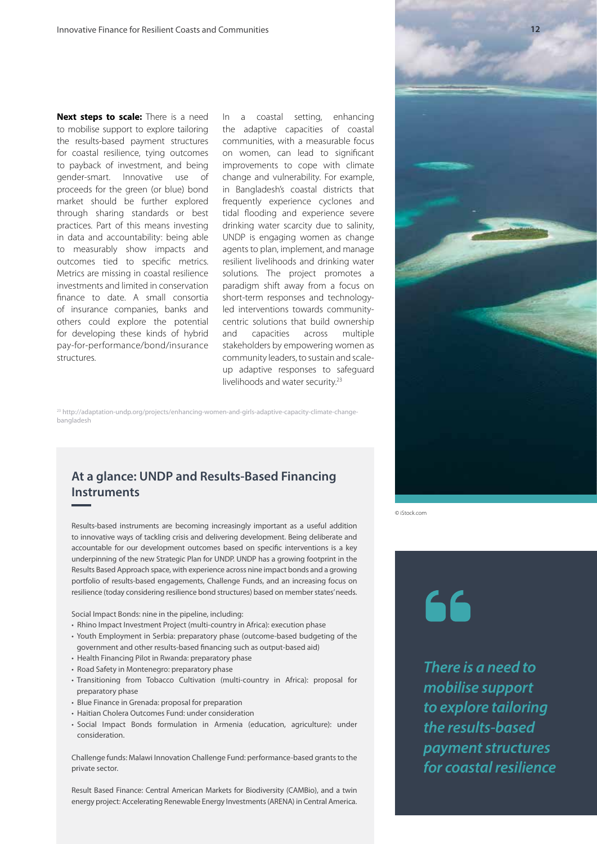**Next steps to scale:** There is a need to mobilise support to explore tailoring the results-based payment structures for coastal resilience, tying outcomes to payback of investment, and being gender-smart. Innovative use of proceeds for the green (or blue) bond market should be further explored through sharing standards or best practices. Part of this means investing in data and accountability: being able to measurably show impacts and outcomes tied to specific metrics. Metrics are missing in coastal resilience investments and limited in conservation finance to date. A small consortia of insurance companies, banks and others could explore the potential for developing these kinds of hybrid pay-for-performance/bond/insurance structures.

In a coastal setting, enhancing the adaptive capacities of coastal communities, with a measurable focus on women, can lead to significant improvements to cope with climate change and vulnerability. For example, in Bangladesh's coastal districts that frequently experience cyclones and tidal flooding and experience severe drinking water scarcity due to salinity, UNDP is engaging women as change agents to plan, implement, and manage resilient livelihoods and drinking water solutions. The project promotes a paradigm shift away from a focus on short-term responses and technologyled interventions towards communitycentric solutions that build ownership and capacities across multiple stakeholders by empowering women as community leaders, to sustain and scaleup adaptive responses to safeguard livelihoods and water security.23

23 http://adaptation-undp.org/projects/enhancing-women-and-girls-adaptive-capacity-climate-changebangladesh

#### **At a glance: UNDP and Results-Based Financing Instruments**

Results-based instruments are becoming increasingly important as a useful addition to innovative ways of tackling crisis and delivering development. Being deliberate and accountable for our development outcomes based on specific interventions is a key underpinning of the new Strategic Plan for UNDP. UNDP has a growing footprint in the Results Based Approach space, with experience across nine impact bonds and a growing portfolio of results-based engagements, Challenge Funds, and an increasing focus on resilience (today considering resilience bond structures) based on member states' needs.

Social Impact Bonds: nine in the pipeline, including:

- Rhino Impact Investment Project (multi-country in Africa): execution phase
- Youth Employment in Serbia: preparatory phase (outcome-based budgeting of the government and other results-based financing such as output-based aid)
- Health Financing Pilot in Rwanda: preparatory phase
- Road Safety in Montenegro: preparatory phase
- Transitioning from Tobacco Cultivation (multi-country in Africa): proposal for preparatory phase
- Blue Finance in Grenada: proposal for preparation
- Haitian Cholera Outcomes Fund: under consideration
- Social Impact Bonds formulation in Armenia (education, agriculture): under consideration.

Challenge funds: Malawi Innovation Challenge Fund: performance-based grants to the private sector.

Result Based Finance: Central American Markets for Biodiversity (CAMBio), and a twin energy project: Accelerating Renewable Energy Investments (ARENA) in Central America.



© iStock.com

66

*There is a need to mobilise support to explore tailoring the results-based payment structures for coastal resilience*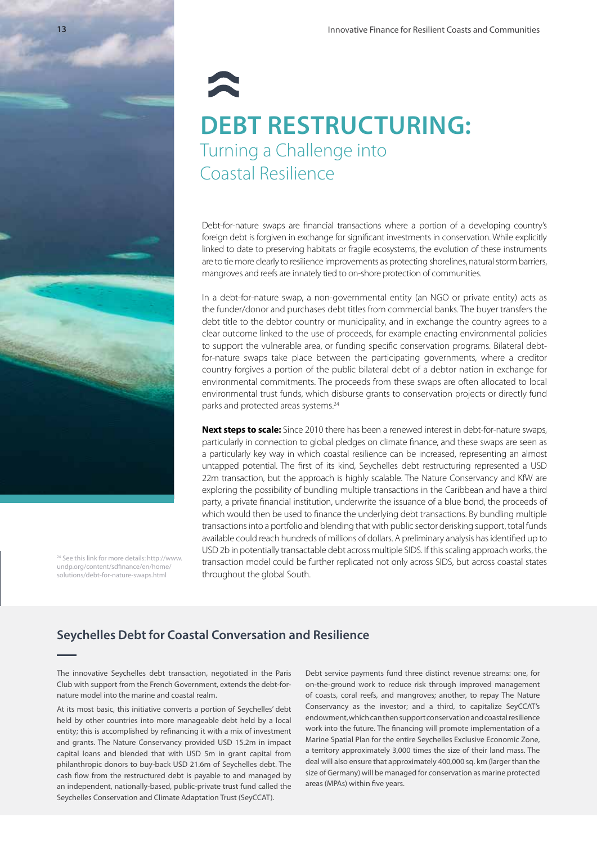# **DEBT RESTRUCTURING:**  Turning a Challenge into Coastal Resilience

Debt-for-nature swaps are financial transactions where a portion of a developing country's foreign debt is forgiven in exchange for significant investments in conservation. While explicitly linked to date to preserving habitats or fragile ecosystems, the evolution of these instruments are to tie more clearly to resilience improvements as protecting shorelines, natural storm barriers, mangroves and reefs are innately tied to on-shore protection of communities.

In a debt-for-nature swap, a non-governmental entity (an NGO or private entity) acts as the funder/donor and purchases debt titles from commercial banks. The buyer transfers the debt title to the debtor country or municipality, and in exchange the country agrees to a clear outcome linked to the use of proceeds, for example enacting environmental policies to support the vulnerable area, or funding specific conservation programs. Bilateral debtfor-nature swaps take place between the participating governments, where a creditor country forgives a portion of the public bilateral debt of a debtor nation in exchange for environmental commitments. The proceeds from these swaps are often allocated to local environmental trust funds, which disburse grants to conservation projects or directly fund parks and protected areas systems.<sup>24</sup>

**Next steps to scale:** Since 2010 there has been a renewed interest in debt-for-nature swaps, particularly in connection to global pledges on climate finance, and these swaps are seen as a particularly key way in which coastal resilience can be increased, representing an almost untapped potential. The first of its kind, Seychelles debt restructuring represented a USD 22m transaction, but the approach is highly scalable. The Nature Conservancy and KfW are exploring the possibility of bundling multiple transactions in the Caribbean and have a third party, a private financial institution, underwrite the issuance of a blue bond, the proceeds of which would then be used to finance the underlying debt transactions. By bundling multiple transactions into a portfolio and blending that with public sector derisking support, total funds available could reach hundreds of millions of dollars. A preliminary analysis has identified up to USD 2b in potentially transactable debt across multiple SIDS. If this scaling approach works, the transaction model could be further replicated not only across SIDS, but across coastal states throughout the global South.

#### **Seychelles Debt for Coastal Conversation and Resilience**

The innovative Seychelles debt transaction, negotiated in the Paris Club with support from the French Government, extends the debt-fornature model into the marine and coastal realm.

At its most basic, this initiative converts a portion of Seychelles' debt held by other countries into more manageable debt held by a local entity; this is accomplished by refinancing it with a mix of investment and grants. The Nature Conservancy provided USD 15.2m in impact capital loans and blended that with USD 5m in grant capital from philanthropic donors to buy-back USD 21.6m of Seychelles debt. The cash flow from the restructured debt is payable to and managed by an independent, nationally-based, public-private trust fund called the Seychelles Conservation and Climate Adaptation Trust (SeyCCAT).

Debt service payments fund three distinct revenue streams: one, for on-the-ground work to reduce risk through improved management of coasts, coral reefs, and mangroves; another, to repay The Nature Conservancy as the investor; and a third, to capitalize SeyCCAT's endowment, which can then support conservation and coastal resilience work into the future. The financing will promote implementation of a Marine Spatial Plan for the entire Seychelles Exclusive Economic Zone, a territory approximately 3,000 times the size of their land mass. The deal will also ensure that approximately 400,000 sq. km (larger than the size of Germany) will be managed for conservation as marine protected areas (MPAs) within five years.

24 See this link for more details: http://www. undp.org/content/sdfinance/en/home/ solutions/debt-for-nature-swaps.html

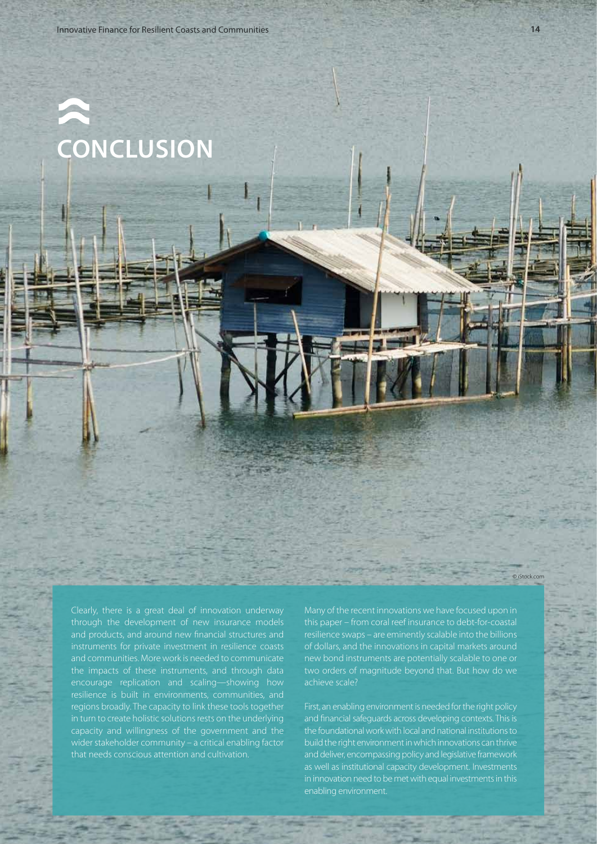**CONCLUSION**

Clearly, there is a great deal of innovation underway through the development of new insurance models and communities. More work is needed to communicate the impacts of these instruments, and through data encourage replication and scaling—showing how resilience is built in environments, communities, and regions broadly. The capacity to link these tools together in turn to create holistic solutions rests on the underlying capacity and willingness of the government and the wider stakeholder community – a critical enabling factor that needs conscious attention and cultivation.

Many of the recent innovations we have focused upon in this paper – from coral reef insurance to debt-for-coastal resilience swaps – are eminently scalable into the billions of dollars, and the innovations in capital markets around new bond instruments are potentially scalable to one or two orders of magnitude beyond that. But how do we

First, an enabling environment is needed for the right policy and financial safeguards across developing contexts. This is the foundational work with local and national institutions to build the right environment in which innovations can thrive and deliver, encompassing policy and legislative framework as well as institutional capacity development. Investments in innovation need to be met with equal investments in this enabling environment.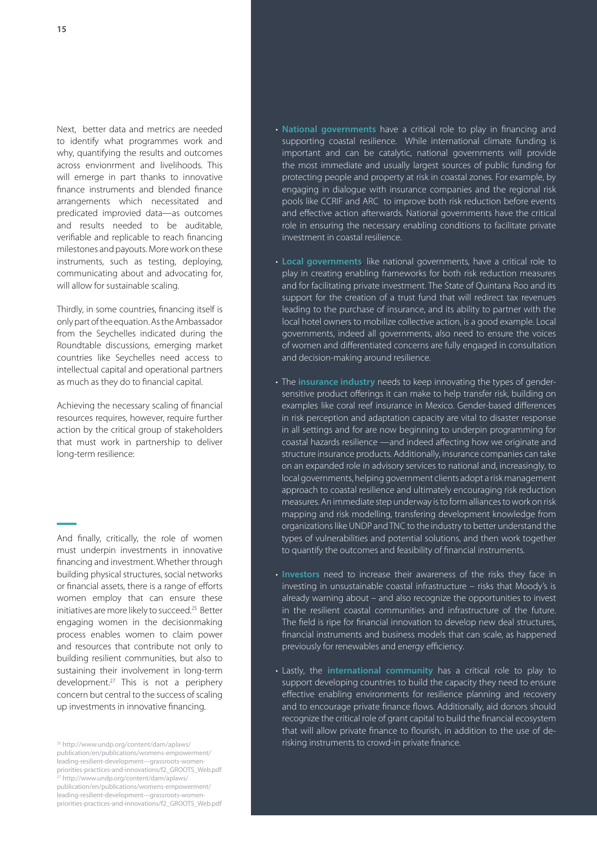Next, better data and metrics are needed to identify what programmes work and why, quantifying the results and outcomes across envionrment and livelihoods. This will emerge in part thanks to innovative finance instruments and blended finance arrangements which necessitated and predicated improvied data—as outcomes and results needed to be auditable, verifiable and replicable to reach financing milestones and payouts. More work on these instruments, such as testing, deploying, communicating about and advocating for, will allow for sustainable scaling.

Thirdly, in some countries, financing itself is only part of the equation. As the Ambassador from the Seychelles indicated during the Roundtable discussions, emerging market countries like Seychelles need access to intellectual capital and operational partners as much as they do to financial capital.

Achieving the necessary scaling of financial resources requires, however, require further action by the critical group of stakeholders that must work in partnership to deliver long-term resilience:

And finally, critically, the role of women must underpin investments in innovative financing and investment. Whether through building physical structures, social networks or financial assets, there is a range of efforts women employ that can ensure these initiatives are more likely to succeed.25 Better engaging women in the decisionmaking process enables women to claim power and resources that contribute not only to building resilient communities, but also to sustaining their involvement in long-term development.27 This is not a periphery concern but central to the success of scaling up investments in innovative financing.

publication/en/publications/womens-empowerment/ leading-resilient-development---grassroots-womenpriorities-practices-and-innovations/f2\_GROOTS\_Web.pdf 27 http://www.undp.org/content/dam/aplaws/ publication/en/publications/womens-empowerment/ leading-resilient-development---grassroots-womenpriorities-practices-and-innovations/f2\_GROOTS\_Web.pdf

- **National governments** have a critical role to play in financing and supporting coastal resilience. While international climate funding is important and can be catalytic, national governments will provide the most immediate and usually largest sources of public funding for protecting people and property at risk in coastal zones. For example, by engaging in dialogue with insurance companies and the regional risk pools like CCRIF and ARC to improve both risk reduction before events and effective action afterwards. National governments have the critical role in ensuring the necessary enabling conditions to facilitate private investment in coastal resilience.
- **Local governments**, like national governments, have a critical role to play in creating enabling frameworks for both risk reduction measures and for facilitating private investment. The State of Quintana Roo and its support for the creation of a trust fund that will redirect tax revenues leading to the purchase of insurance, and its ability to partner with the local hotel owners to mobilize collective action, is a good example. Local governments, indeed all governments, also need to ensure the voices of women and differentiated concerns are fully engaged in consultation and decision-making around resilience.
- The **insurance industry** needs to keep innovating the types of gendersensitive product offerings it can make to help transfer risk, building on examples like coral reef insurance in Mexico. Gender-based differences in risk perception and adaptation capacity are vital to disaster response in all settings and for are now beginning to underpin programming for coastal hazards resilience —and indeed affecting how we originate and structure insurance products. Additionally, insurance companies can take on an expanded role in advisory services to national and, increasingly, to local governments, helping government clients adopt a risk management approach to coastal resilience and ultimately encouraging risk reduction measures. An immediate step underway is to form alliances to work on risk mapping and risk modelling, transfering development knowledge from organizations like UNDP and TNC to the industry to better understand the types of vulnerabilities and potential solutions, and then work together to quantify the outcomes and feasibility of financial instruments.
- **Investors** need to increase their awareness of the risks they face in investing in unsustainable coastal infrastructure – risks that Moody's is already warning about – and also recognize the opportunities to invest in the resilient coastal communities and infrastructure of the future. The field is ripe for financial innovation to develop new deal structures, financial instruments and business models that can scale, as happened previously for renewables and energy efficiency.
- Lastly, the **international community** has a critical role to play to support developing countries to build the capacity they need to ensure effective enabling environments for resilience planning and recovery and to encourage private finance flows. Additionally, aid donors should recognize the critical role of grant capital to build the financial ecosystem that will allow private finance to flourish, in addition to the use of de-<sup>25</sup> http://www.undp.org/content/dam/aplaws/<br>**125 http://www.undp.org/content/dam/aplaws/ 25 http://www.undp.org/content/dam/aplaws/**